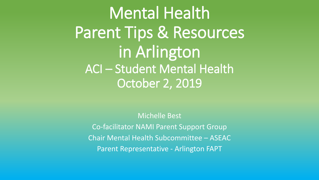Mental Health Parent Tips & Resources in Arlington ACI – Student Mental Health October 2, 2019

Michelle Best Co-facilitator NAMI Parent Support Group Chair Mental Health Subcommittee – ASEAC Parent Representative - Arlington FAPT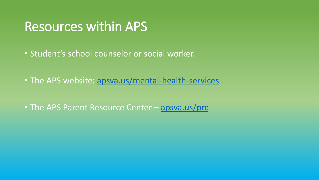## Resources within APS

- Student's school counselor or social worker.
- The APS website: [apsva.us/mental-health-services](https://www.apsva.us/mental-health-services/)
- The APS Parent Resource Center [apsva.us/prc](file:///C:/Users/Michelle/Documents/apsva.us/prc)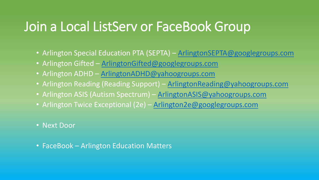# Join a Local ListServ or FaceBook Group

- Arlington Special Education PTA (SEPTA) [ArlingtonSEPTA@googlegroups.com](mailto:ArlingtonSEPTA@googlegroups.com)
- Arlington Gifted [ArlingtonGifted@googlegroups.com](mailto:ArlingtonGifted@googlegroups.com)
- Arlington ADHD [ArlingtonADHD@yahoogroups.com](mailto:ArlingtonADHD@yahoogroups.com)
- Arlington Reading (Reading Support) [ArlingtonReading@yahoogroups.com](mailto:ArlingtonReading@yahoogroups.com)
- Arlington ASIS (Autism Spectrum) [ArlingtonASIS@yahoogroups.com](mailto:ArlingtonASIS@yahoogroups.com)
- Arlington Twice Exceptional (2e) [Arlington2e@googlegroups.com](mailto:Arlington2e@googlegroups.com)
- Next Door
- FaceBook Arlington Education Matters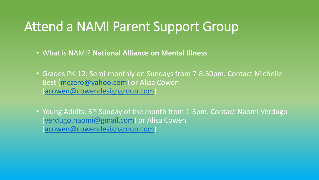# Attend a NAMI Parent Support Group

- What is NAMI? **National Alliance on Mental Illness**
- Grades PK-12: Semi-monthly on Sundays from 7-8:30pm. Contact Michelle Best ([mczero@yahoo.com](mailto:mczero@yahoo.com)) or Alisa Cowen ([acowen@cowendesigngroup.com\)](mailto:acowen@cowendesigngroup.com)
- Young Adults: 3rd Sunday of the month from 1-3pm. Contact Naomi Verdugo ([verdugo.naomi@gmail.com\)](mailto:verdugo.naomi@gmail.com) or Alisa Cowen ([acowen@cowendesigngroup.com\)](mailto:acowen@cowendesigngroup.com)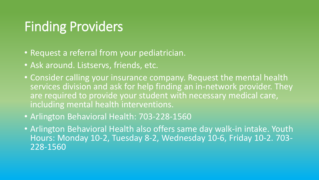# Finding Providers

- Request a referral from your pediatrician.
- Ask around. Listservs, friends, etc.
- Consider calling your insurance company. Request the mental health services division and ask for help finding an in-network provider. They are required to provide your student with necessary medical care, including mental health interventions.
- Arlington Behavioral Health: 703-228-1560
- Arlington Behavioral Health also offers same day walk-in intake. Youth Hours: Monday 10-2, Tuesday 8-2, Wednesday 10-6, Friday 10-2. 703- 228-1560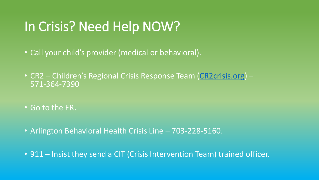# In Crisis? Need Help NOW?

- Call your child's provider (medical or behavioral).
- CR2 Children's Regional Crisis Response Team ([CR2crisis.org](https://www.cr2crisis.com/)) 571-364-7390
- Go to the ER.
- Arlington Behavioral Health Crisis Line 703-228-5160.
- 911 Insist they send a CIT (Crisis Intervention Team) trained officer.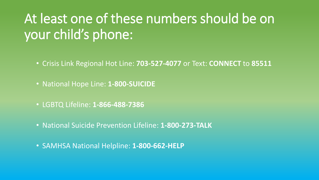# At least one of these numbers should be on your child's phone:

- Crisis Link Regional Hot Line: **703-527-4077** or Text: **CONNECT** to **85511**
- National Hope Line: **1-800-SUICIDE**
- LGBTQ Lifeline: **1-866-488-7386**
- National Suicide Prevention Lifeline: **1-800-273-TALK**
- SAMHSA National Helpline: **1-800-662-HELP**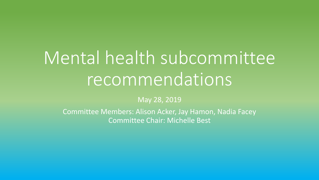# Mental health subcommittee recommendations

#### May 28, 2019

Committee Members: Alison Acker, Jay Hamon, Nadia Facey Committee Chair: Michelle Best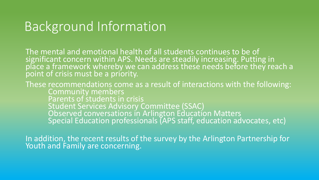# Background Information

The mental and emotional health of all students continues to be of significant concern within APS. Needs are steadily increasing. Putting in place a framework whereby we can address these needs before they reach a point of crisis must be a priority.

These recommendations come as a result of interactions with the following: Community members Parents of students in crisis Student Services Advisory Committee (SSAC) Observed conversations in Arlington Education Matters Special Education professionals (APS staff, education advocates, etc)

In addition, the recent results of the survey by the Arlington Partnership for Youth and Family are concerning.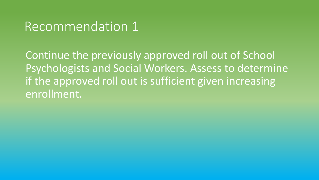Continue the previously approved roll out of School Psychologists and Social Workers. Assess to determine if the approved roll out is sufficient given increasing enrollment.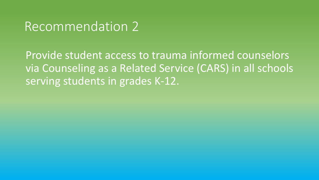Provide student access to trauma informed counselors via Counseling as a Related Service (CARS) in all schools serving students in grades K-12.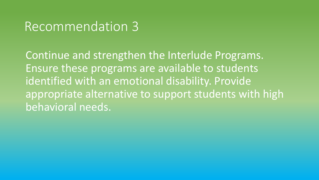Continue and strengthen the Interlude Programs. Ensure these programs are available to students identified with an emotional disability. Provide appropriate alternative to support students with high behavioral needs.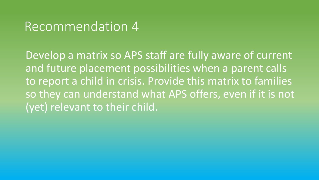Develop a matrix so APS staff are fully aware of current and future placement possibilities when a parent calls to report a child in crisis. Provide this matrix to families so they can understand what APS offers, even if it is not (yet) relevant to their child.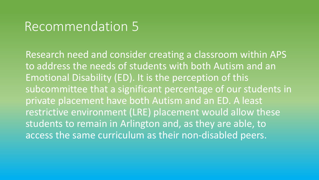Research need and consider creating a classroom within APS to address the needs of students with both Autism and an Emotional Disability (ED). It is the perception of this subcommittee that a significant percentage of our students in private placement have both Autism and an ED. A least restrictive environment (LRE) placement would allow these students to remain in Arlington and, as they are able, to access the same curriculum as their non-disabled peers.